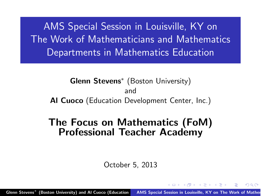AMS Special Session in Louisville, KY on The Work of Mathematicians and Mathematics Departments in Mathematics Education

Glenn Stevens∗ (Boston University) and Al Cuoco (Education Development Center, Inc.)

# The Focus on Mathematics (FoM) Professional Teacher Academy

<span id="page-0-0"></span>October 5, 2013

Glenn Stevens\* (Boston University) and Al Cuoco (Education AMS Special Session in Louisville, KY on [The](#page-0-0) W[o](#page-17-0)rk of Mather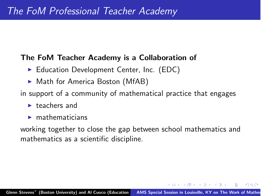#### The FoM Teacher Academy is a Collaboration of

- ▶ Education Development Center, Inc. (EDC)
- Math for America Boston (MfAB)
- in support of a community of mathematical practice that engages
	- $\blacktriangleright$  teachers and
	- $\blacktriangleright$  mathematicians

<span id="page-1-0"></span>working together to close the gap between school mathematics and mathematics as a scientific discipline.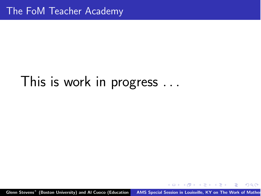## This is work in progress *...*

<span id="page-2-0"></span>Sen Stevens\* (Boston University) and Al Cuoco (Education AMS Special Session in Louisville, KY on [T](#page-2-0)[he](#page-0-0) W[o](#page-17-0)rk of Mather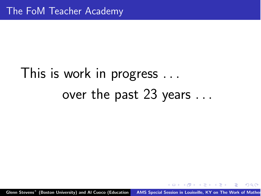## This is work in progress *...* over the past 23 years *...*

<span id="page-3-0"></span>Glenn Stevens\* (Boston University) and Al Cuoco (Education AMS Special Session in Louisville, KY on [T](#page-3-0)[he](#page-0-0) W[o](#page-17-0)rk of Mather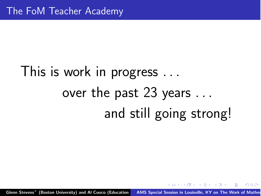## This is work in progress *...* over the past 23 years *...* and still going strong!

<span id="page-4-0"></span>Glenn Stevens\* (Boston University) and Al Cuoco (Education AMS Special Session in Louisville, KY on [T](#page-4-0)[he](#page-0-0) W[o](#page-17-0)rk of Mather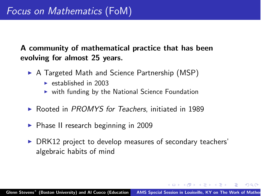A community of mathematical practice that has been evolving for almost 25 years.

- ▶ A Targeted Math and Science Partnership (MSP)
	- $\blacktriangleright$  established in 2003
	- $\triangleright$  with funding by the National Science Foundation
- ! Rooted in *PROMYS for Teachers*, initiated in 1989
- ▶ Phase II research beginning in 2009
- <span id="page-5-0"></span>▶ DRK12 project to develop measures of secondary teachers' algebraic habits of mind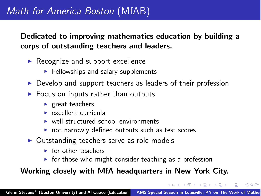#### Dedicated to improving mathematics education by building a corps of outstanding teachers and leaders.

- $\triangleright$  Recognize and support excellence
	- $\blacktriangleright$  Fellowships and salary supplements
- **Develop and support teachers as leaders of their profession**
- $\blacktriangleright$  Focus on inputs rather than outputs
	- $\blacktriangleright$  great teachers
	- $\triangleright$  excellent curricula
	- $\triangleright$  well-structured school environments
	- $\triangleright$  not narrowly defined outputs such as test scores
- Outstanding teachers serve as role models
	- **In for other teachers**
	- $\triangleright$  for those who might consider teaching as a profession

#### Working closely with MfA headquarters in New York City.

<span id="page-6-0"></span> $\left\{ \begin{array}{ccc} 1 & 0 & 0 \\ 0 & 1 & 0 \end{array} \right\}$  ,  $\left\{ \begin{array}{ccc} 1 & 0 & 0 \\ 0 & 1 & 0 \end{array} \right\}$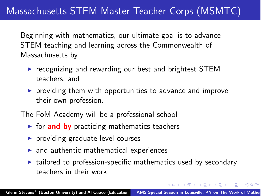## Massachusetts STEM Master Teacher Corps (MSMTC)

Beginning with mathematics, our ultimate goal is to advance STEM teaching and learning across the Commonwealth of Massachusetts by

- **EXAM** recognizing and rewarding our best and brightest STEM teachers, and
- $\triangleright$  providing them with opportunities to advance and improve their own profession.
- The FoM Academy will be a professional school
	- $\triangleright$  for and by practicing mathematics teachers
	- $\blacktriangleright$  providing graduate level courses
	- $\blacktriangleright$  and authentic mathematical experiences
	- $\triangleright$  tailored to profession-specific mathematics used by secondary teachers in their work

<span id="page-7-0"></span>メロメ メタメ メモメ メモメ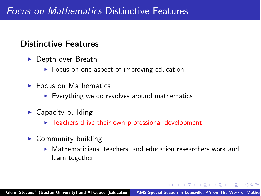#### Distinctive Features

- ▶ Depth over Breath
	- $\triangleright$  Focus on one aspect of improving education
- **E** Focus on Mathematics
	- $\triangleright$  Everything we do revolves around mathematics
- $\blacktriangleright$  Capacity building
	- $\blacktriangleright$  Teachers drive their own professional development
- <span id="page-8-0"></span> $\triangleright$  Community building
	- ! Mathematicians, teachers, and education researchers work and learn together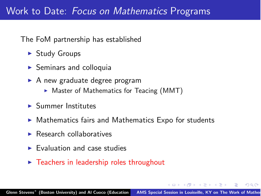The FoM partnership has established

- ▶ Study Groups
- $\triangleright$  Seminars and colloquia
- $\triangleright$  A new graduate degree program
	- $\triangleright$  Master of Mathematics for Teacing (MMT)
- $\blacktriangleright$  Summer Institutes
- $\triangleright$  Mathematics fairs and Mathematics Expo for students
- $\blacktriangleright$  Research collaboratives
- $\blacktriangleright$  Evaluation and case studies
- <span id="page-9-0"></span> $\triangleright$  Teachers in leadership roles throughout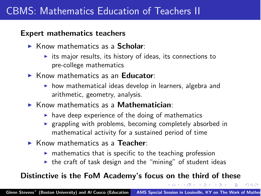### CBMS: Mathematics Education of Teachers II

#### Expert mathematics teachers

- $\triangleright$  Know mathematics as a **Scholar**:
	- $\triangleright$  its major results, its history of ideas, its connections to pre-college mathematics
- $\triangleright$  Know mathematics as an Educator:
	- $\triangleright$  how mathematical ideas develop in learners, algebra and arithmetic, geometry, analysis.
- $\triangleright$  Know mathematics as a **Mathematician**:
	- $\triangleright$  have deep experience of the doing of mathematics
	- **Exampling with problems, becoming completely absorbed in** mathematical activity for a sustained period of time
- $\triangleright$  Know mathematics as a Teacher:
	- $\triangleright$  mathematics that is specific to the teaching profession
	- $\triangleright$  the craft of task design and the "mining" of student ideas

<span id="page-10-0"></span> $\Omega$ 

イター・メディ スティー

#### Distinctive is the FoM Academy's focus on the third of these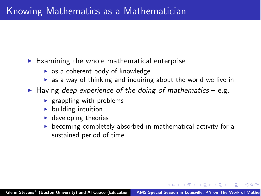#### $\triangleright$  Examining the whole mathematical enterprise

- $\triangleright$  as a coherent body of knowledge
- <span id="page-11-0"></span> $\triangleright$  as a way of thinking and inquiring about the world we live in
- ! Having *deep experience of the doing of mathematics* e.g.
	- $\triangleright$  grappling with problems
	- $\blacktriangleright$  building intuition
	- $\blacktriangleright$  developing theories
	- $\triangleright$  becoming completely absorbed in mathematical activity for a sustained period of time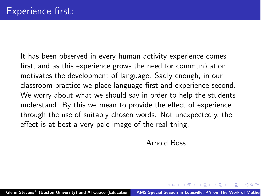It has been observed in every human activity experience comes first, and as this experience grows the need for communication motivates the development of language. Sadly enough, in our classroom practice we place language first and experience second. We worry about what we should say in order to help the students understand. By this we mean to provide the effect of experience through the use of suitably chosen words. Not unexpectedly, the effect is at best a very pale image of the real thing.

<span id="page-12-0"></span>Arnold Ross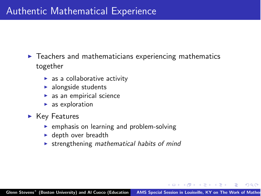- $\blacktriangleright$  Teachers and mathematicians experiencing mathematics together
	- $\triangleright$  as a collaborative activity
	- $\blacktriangleright$  alongside students
	- $\triangleright$  as an empirical science
	- $\blacktriangleright$  as exploration
- <span id="page-13-0"></span> $\blacktriangleright$  Key Features
	- $\triangleright$  emphasis on learning and problem-solving
	- $\blacktriangleright$  depth over breadth
	- ! strengthening *mathematical habits of mind*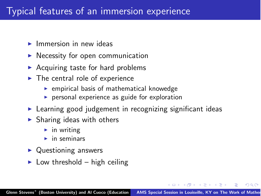## Typical features of an immersion experience

- $\blacktriangleright$  Immersion in new ideas
- $\blacktriangleright$  Necessity for open communication
- $\triangleright$  Acquiring taste for hard problems
- $\blacktriangleright$  The central role of experience
	- $\blacktriangleright$  empirical basis of mathematical knowedge
	- $\triangleright$  personal experience as guide for exploration
- **EXECT** Learning good judgement in recognizing significant ideas
- $\blacktriangleright$  Sharing ideas with others
	- $\blacktriangleright$  in writing
	- $\blacktriangleright$  in seminars
- $\triangleright$  Questioning answers
- <span id="page-14-0"></span> $\blacktriangleright$  Low threshold – high ceiling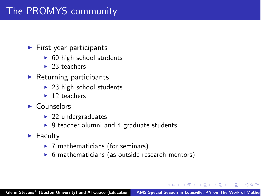## The PROMYS community

- $\blacktriangleright$  First year participants
	- $\triangleright$  60 high school students
	- $\blacktriangleright$  23 teachers
- $\blacktriangleright$  Returning participants
	- $\triangleright$  23 high school students
	- $\blacktriangleright$  12 teachers
- ▶ Counselors
	- $\blacktriangleright$  22 undergraduates
	- $\triangleright$  9 teacher alumni and 4 graduate students
- <span id="page-15-0"></span> $\blacktriangleright$  Faculty
	- $\triangleright$  7 mathematicians (for seminars)
	- $\triangleright$  6 mathematicians (as outside research mentors)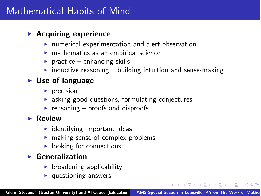### Mathematical Habits of Mind

#### $\blacktriangleright$  Acquiring experience

- $\blacktriangleright$  numerical experimentation and alert observation
- $\triangleright$  mathematics as an empirical science
- $\triangleright$  practice enhancing skills
- $\triangleright$  inductive reasoning building intuition and sense-making

#### $\triangleright$  Use of language

- $\blacktriangleright$  precision
- $\triangleright$  asking good questions, formulating conjectures
- reasoning  $-$  proofs and disproofs

#### $\blacktriangleright$  Review

- $\blacktriangleright$  identifying important ideas
- $\triangleright$  making sense of complex problems
- $\blacktriangleright$  looking for connections

#### $\blacktriangleright$  Generalization

- $\triangleright$  broadening applicability
- <span id="page-16-0"></span> $\blacktriangleright$  questioning answers